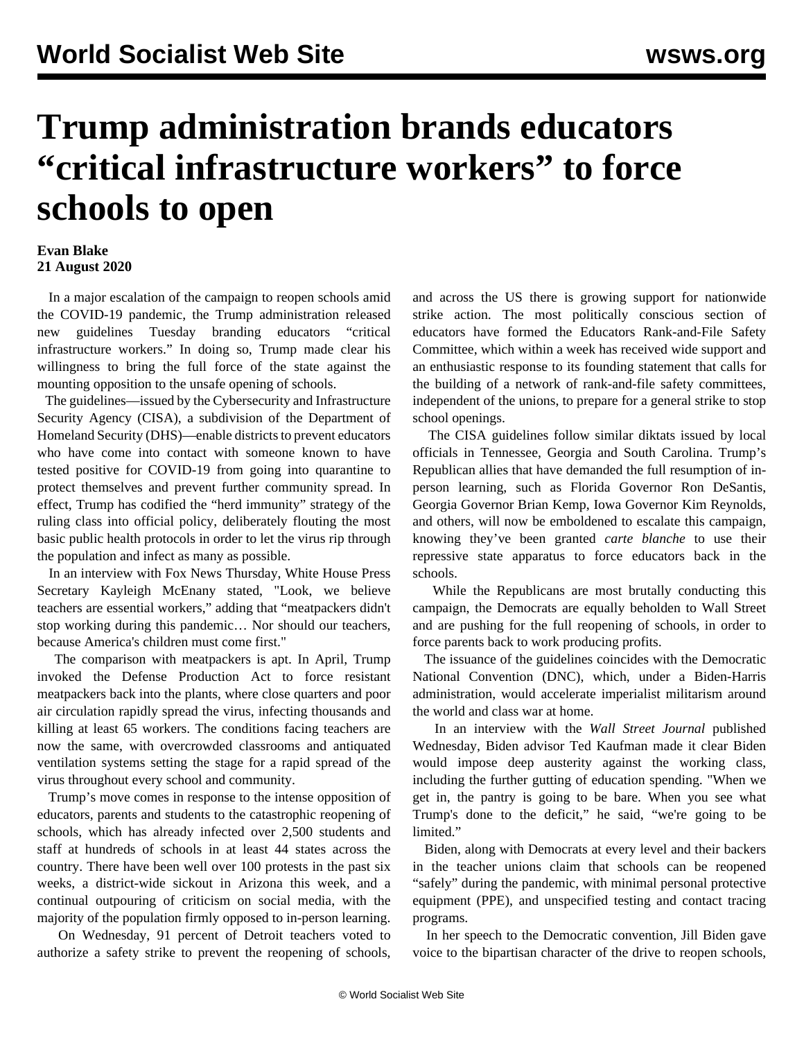## **Trump administration brands educators "critical infrastructure workers" to force schools to open**

## **Evan Blake 21 August 2020**

 In a major escalation of the campaign to reopen schools amid the COVID-19 pandemic, the Trump administration released new guidelines Tuesday branding educators "critical infrastructure workers." In doing so, Trump made clear his willingness to bring the full force of the state against the mounting opposition to the unsafe opening of schools.

 The guidelines—issued by the Cybersecurity and Infrastructure Security Agency (CISA), a subdivision of the Department of Homeland Security (DHS)—enable districts to prevent educators who have come into contact with someone known to have tested positive for COVID-19 from going into quarantine to protect themselves and prevent further community spread. In effect, Trump has codified the "herd immunity" strategy of the ruling class into official policy, deliberately flouting the most basic public health protocols in order to let the virus rip through the population and infect as many as possible.

 In an interview with Fox News Thursday, White House Press Secretary Kayleigh McEnany stated, "Look, we believe teachers are essential workers," adding that "meatpackers didn't stop working during this pandemic… Nor should our teachers, because America's children must come first."

 The comparison with meatpackers is apt. In April, Trump invoked the Defense Production Act to force resistant meatpackers back into the plants, where close quarters and poor air circulation rapidly spread the virus, infecting thousands and killing at least 65 workers. The conditions facing teachers are now the same, with overcrowded classrooms and antiquated ventilation systems setting the stage for a rapid spread of the virus throughout every school and community.

 Trump's move comes in response to the intense opposition of educators, parents and students to the catastrophic reopening of schools, which has already infected over 2,500 students and staff at hundreds of schools in at least 44 states across the country. There have been well over 100 protests in the past six weeks, a district-wide sickout in Arizona this week, and a continual outpouring of criticism on social media, with the majority of the population firmly opposed to in-person learning.

 On Wednesday, 91 percent of Detroit teachers voted to authorize a safety strike to prevent the reopening of schools, and across the US there is growing support for nationwide strike action. The most politically conscious section of educators have formed the Educators Rank-and-File Safety Committee, which within a week has received wide support and an enthusiastic response to its [founding statement](/en/articles/2020/08/15/rank-a15.html) that calls for the building of a network of rank-and-file safety committees, independent of the unions, to prepare for a general strike to stop school openings.

 The CISA guidelines follow similar diktats issued by local officials in Tennessee, Georgia and South Carolina. Trump's Republican allies that have demanded the full resumption of inperson learning, such as Florida Governor Ron DeSantis, Georgia Governor Brian Kemp, Iowa Governor Kim Reynolds, and others, will now be emboldened to escalate this campaign, knowing they've been granted *carte blanche* to use their repressive state apparatus to force educators back in the schools.

 While the Republicans are most brutally conducting this campaign, the Democrats are equally beholden to Wall Street and are pushing for the full reopening of schools, in order to force parents back to work producing profits.

 The issuance of the guidelines coincides with the Democratic National Convention (DNC), which, under a Biden-Harris administration, would accelerate imperialist militarism around the world and class war at home.

 In an interview with the *Wall Street Journal* published Wednesday, Biden advisor Ted Kaufman made it clear Biden would impose deep austerity against the working class, including the further gutting of education spending. "When we get in, the pantry is going to be bare. When you see what Trump's done to the deficit," he said, "we're going to be limited."

 Biden, along with Democrats at every level and their backers in the teacher unions claim that schools can be reopened "safely" during the pandemic, with minimal personal protective equipment (PPE), and unspecified testing and contact tracing programs.

 In her speech to the Democratic convention, Jill Biden gave voice to the bipartisan character of the drive to reopen schools,